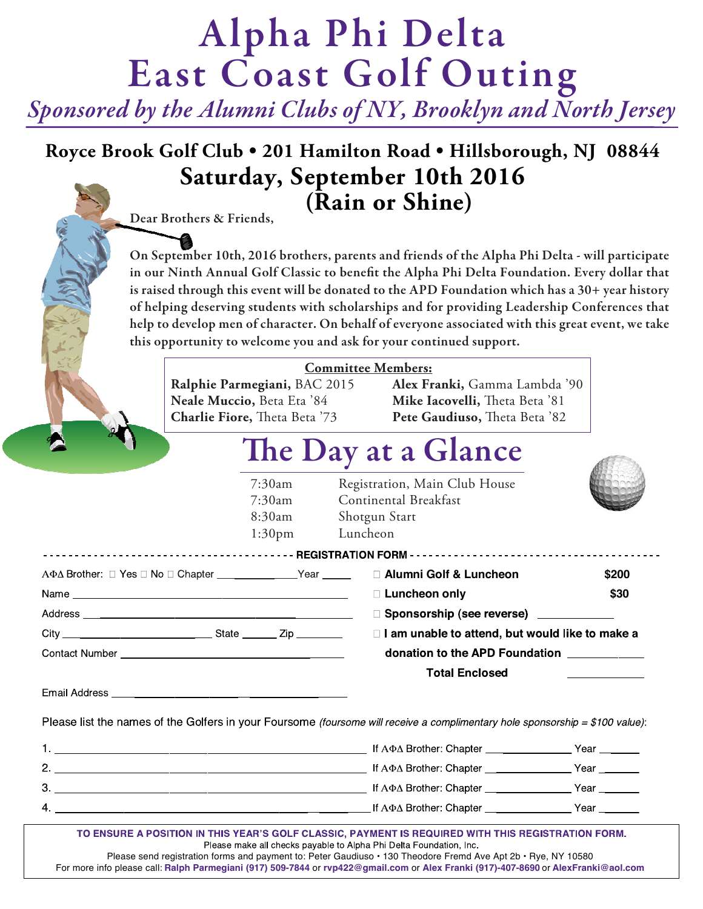# **Alpha Phi Delta East Coast Golf Outing**

*Sponsored by the Alumni Clubs of NY, Brooklyn and North Jersey*

### **Royce Brook Golf Club • 201 Hamilton Road • Hillsborough, NJ 08844 Saturday, September 10th 2016 (Rain or Shine)**

**Dear Brothers & Friends,**

**On September 10th, 2016 brothers, parents and friends of the Alpha Phi Delta - will participate in our Ninth Annual Golf Classic to benefit the Alpha Phi Delta Foundation. Every dollar that is raised through this event will be donated to the APD Foundation which has a 30+ year history of helping deserving students with scholarships and for providing Leadership Conferences that help to develop men of character. On behalf of everyone associated with this great event, we take this opportunity to welcome you and ask for your continued support.**

|              | Neale Muccio, Beta Eta '84<br><b>Charlie Fiore,</b> Theta Beta '73                                                                                                                                                                   | <b>Committee Members:</b><br>Ralphie Parmegiani, BAC 2015 Alex Franki, Gamma Lambda '90<br>Mike Iacovelli, Theta Beta '81<br>Pete Gaudiuso, Theta Beta '82 |                      |
|--------------|--------------------------------------------------------------------------------------------------------------------------------------------------------------------------------------------------------------------------------------|------------------------------------------------------------------------------------------------------------------------------------------------------------|----------------------|
|              |                                                                                                                                                                                                                                      | The Day at a Glance                                                                                                                                        |                      |
|              | 7:30am<br>7:30am<br>8:30am<br>1:30 <sub>pm</sub>                                                                                                                                                                                     | Registration, Main Club House<br>Continental Breakfast<br>Shotgun Start<br>Luncheon                                                                        |                      |
|              | AΦ∆ Brother: □ Yes □ No □ Chapter ______________Year ______ □ Alumni Golf & Luncheon                                                                                                                                                 |                                                                                                                                                            | \$200                |
|              |                                                                                                                                                                                                                                      | □ Luncheon only                                                                                                                                            | \$30                 |
|              |                                                                                                                                                                                                                                      | □ Sponsorship (see reverse) _____________                                                                                                                  |                      |
|              |                                                                                                                                                                                                                                      | $\Box$ I am unable to attend, but would like to make a<br>donation to the APD Foundation ___________                                                       |                      |
|              | Email Address <b>contract and the contract of the contract of the contract of the contract of the contract of the contract of the contract of the contract of the contract of the contract of the contract of the contract of th</b> | <b>Total Enclosed</b>                                                                                                                                      |                      |
|              |                                                                                                                                                                                                                                      | Please list the names of the Golfers in your Foursome (foursome will receive a complimentary hole sponsorship = \$100 value):                              |                      |
| $\mathbf{1}$ |                                                                                                                                                                                                                                      | If A. Brothor: Chapter                                                                                                                                     | $V_{\alpha\alpha r}$ |

|              | $H$ $A\Psi\Delta$ brother: Unapter | rear |
|--------------|------------------------------------|------|
| $\mathbf{2}$ | If A $\Phi\Delta$ Brother: Chapter | Year |
| 3            | If A $\Phi$ ∆ Brother: Chapter     | Year |
| 4            | If A $\Phi\Delta$ Brother: Chapter | Year |
|              |                                    |      |

TO ENSURE A POSITION IN THIS YEAR'S GOLF CLASSIC, PAYMENT IS REQUIRED WITH THIS REGISTRATION FORM. Please make all checks payable to Alpha Phi Delta Foundation, Inc. Please send registration forms and payment to: Peter Gaudiuso • 130 Theodore Fremd Ave Apt 2b • Rye, NY 10580 For more info please call: **Ralph Parmegiani (917) 509-7844** or **rvp422@gmail.com** or **Alex Franki (917)-407-8690** or **AlexFranki@aol.com**